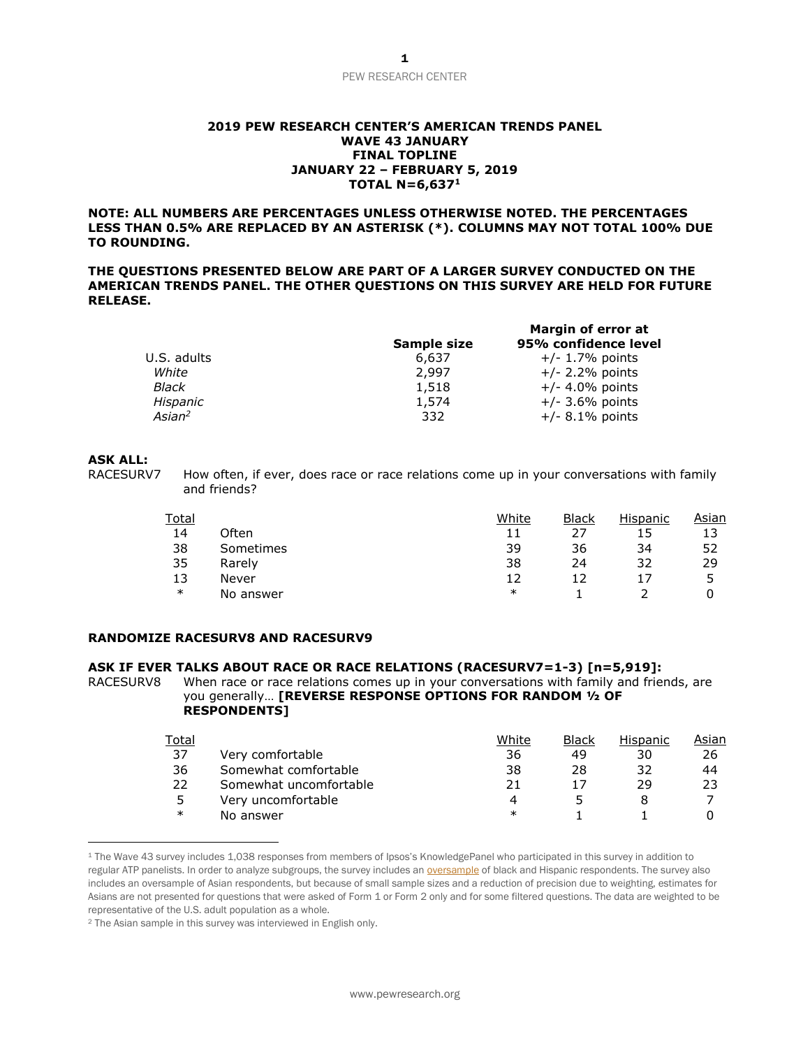# PEW RESEARCH CENTER

#### **2019 PEW RESEARCH CENTER'S AMERICAN TRENDS PANEL WAVE 43 JANUARY FINAL TOPLINE JANUARY 22 – FEBRUARY 5, 2019 TOTAL N=6,637<sup>1</sup>**

**NOTE: ALL NUMBERS ARE PERCENTAGES UNLESS OTHERWISE NOTED. THE PERCENTAGES LESS THAN 0.5% ARE REPLACED BY AN ASTERISK (\*). COLUMNS MAY NOT TOTAL 100% DUE TO ROUNDING.**

**THE QUESTIONS PRESENTED BELOW ARE PART OF A LARGER SURVEY CONDUCTED ON THE AMERICAN TRENDS PANEL. THE OTHER QUESTIONS ON THIS SURVEY ARE HELD FOR FUTURE RELEASE.**

|                    | Sample size | Margin of error at<br>95% confidence level |  |  |
|--------------------|-------------|--------------------------------------------|--|--|
| U.S. adults        | 6,637       | $+/- 1.7%$ points                          |  |  |
| White              | 2,997       | $+/- 2.2\%$ points                         |  |  |
| Black              | 1,518       | $+/- 4.0\%$ points                         |  |  |
| Hispanic           | 1,574       | $+/-$ 3.6% points                          |  |  |
| Asian <sup>2</sup> | 332         | $+/-$ 8.1% points                          |  |  |

# **ASK ALL:**

 $\overline{a}$ 

RACESURV7 How often, if ever, does race or race relations come up in your conversations with family and friends?

| Total  |           | White  | <b>Black</b> | <b>Hispanic</b> | Asian |
|--------|-----------|--------|--------------|-----------------|-------|
| 14     | Often     | 11     |              | 15              |       |
| 38     | Sometimes | 39     | 36           | 34              | 52    |
| 35     | Rarely    | 38     | 24           | 32              | 29    |
| 13     | Never     | 12     |              | 17              | ∽     |
| $\ast$ | No answer | $\ast$ |              |                 |       |

### **RANDOMIZE RACESURV8 AND RACESURV9**

## **ASK IF EVER TALKS ABOUT RACE OR RACE RELATIONS (RACESURV7=1-3) [n=5,919]:**

RACESURV8 When race or race relations comes up in your conversations with family and friends, are you generally… **[REVERSE RESPONSE OPTIONS FOR RANDOM ½ OF RESPONDENTS]**

| <b>Total</b> |                        | White | Black | Hispanic | Asian |
|--------------|------------------------|-------|-------|----------|-------|
| 37           | Very comfortable       | 36    | 49    | 30       | 26    |
| 36           | Somewhat comfortable   | 38    | 28    | 32       | 44    |
| 22           | Somewhat uncomfortable | 21    |       | 29       | 23    |
| 5            | Very uncomfortable     | 4     |       |          |       |
| $\ast$       | No answer              | ∗     |       |          |       |

<sup>1</sup> The Wave 43 survey includes 1,038 responses from members of Ipsos's KnowledgePanel who participated in this survey in addition to regular ATP panelists. In order to analyze subgroups, the survey includes an [oversample](http://www.pewresearch.org/fact-tank/2016/10/25/oversampling-is-used-to-study-small-groups-not-bias-poll-results/) of black and Hispanic respondents. The survey also includes an oversample of Asian respondents, but because of small sample sizes and a reduction of precision due to weighting, estimates for Asians are not presented for questions that were asked of Form 1 or Form 2 only and for some filtered questions. The data are weighted to be representative of the U.S. adult population as a whole.

<sup>2</sup> The Asian sample in this survey was interviewed in English only.